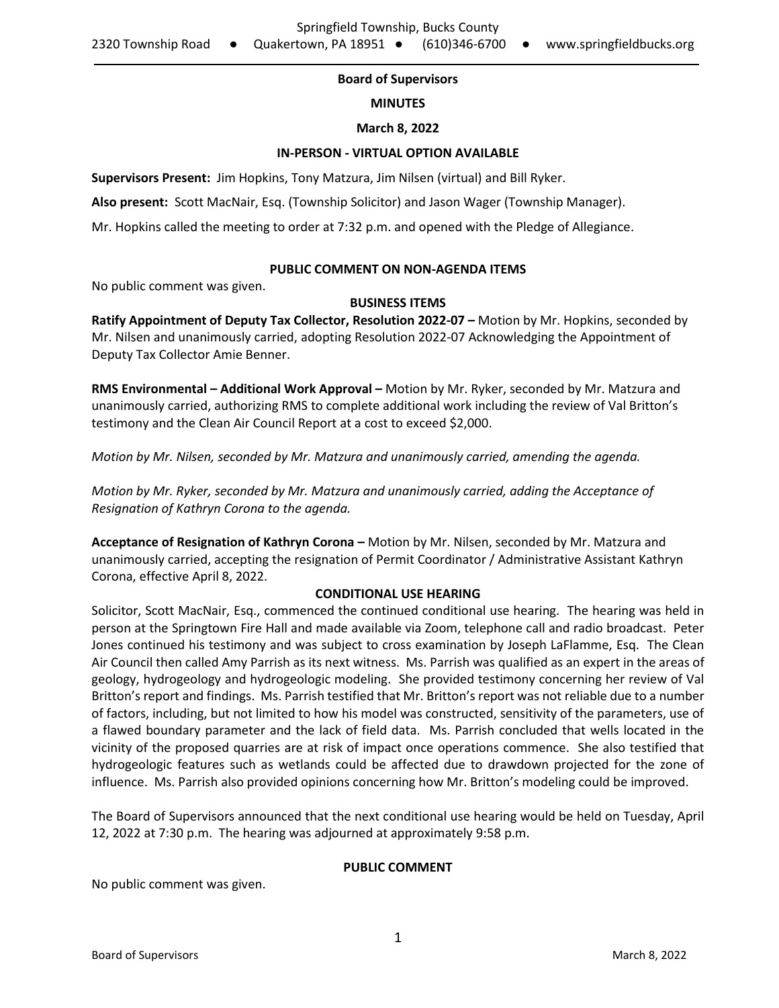# **Board of Supervisors**

## **MINUTES**

#### **March 8, 2022**

#### **IN-PERSON - VIRTUAL OPTION AVAILABLE**

**Supervisors Present:** Jim Hopkins, Tony Matzura, Jim Nilsen (virtual) and Bill Ryker.

**Also present:** Scott MacNair, Esq. (Township Solicitor) and Jason Wager (Township Manager).

Mr. Hopkins called the meeting to order at 7:32 p.m. and opened with the Pledge of Allegiance.

## **PUBLIC COMMENT ON NON-AGENDA ITEMS**

No public comment was given.

## **BUSINESS ITEMS**

**Ratify Appointment of Deputy Tax Collector, Resolution 2022-07 –** Motion by Mr. Hopkins, seconded by Mr. Nilsen and unanimously carried, adopting Resolution 2022-07 Acknowledging the Appointment of Deputy Tax Collector Amie Benner.

**RMS Environmental – Additional Work Approval –** Motion by Mr. Ryker, seconded by Mr. Matzura and unanimously carried, authorizing RMS to complete additional work including the review of Val Britton's testimony and the Clean Air Council Report at a cost to exceed \$2,000.

*Motion by Mr. Nilsen, seconded by Mr. Matzura and unanimously carried, amending the agenda.*

*Motion by Mr. Ryker, seconded by Mr. Matzura and unanimously carried, adding the Acceptance of Resignation of Kathryn Corona to the agenda.*

**Acceptance of Resignation of Kathryn Corona –** Motion by Mr. Nilsen, seconded by Mr. Matzura and unanimously carried, accepting the resignation of Permit Coordinator / Administrative Assistant Kathryn Corona, effective April 8, 2022.

# **CONDITIONAL USE HEARING**

Solicitor, Scott MacNair, Esq., commenced the continued conditional use hearing. The hearing was held in person at the Springtown Fire Hall and made available via Zoom, telephone call and radio broadcast. Peter Jones continued his testimony and was subject to cross examination by Joseph LaFlamme, Esq. The Clean Air Council then called Amy Parrish as its next witness. Ms. Parrish was qualified as an expert in the areas of geology, hydrogeology and hydrogeologic modeling. She provided testimony concerning her review of Val Britton's report and findings. Ms. Parrish testified that Mr. Britton's report was not reliable due to a number of factors, including, but not limited to how his model was constructed, sensitivity of the parameters, use of a flawed boundary parameter and the lack of field data. Ms. Parrish concluded that wells located in the vicinity of the proposed quarries are at risk of impact once operations commence. She also testified that hydrogeologic features such as wetlands could be affected due to drawdown projected for the zone of influence. Ms. Parrish also provided opinions concerning how Mr. Britton's modeling could be improved.

The Board of Supervisors announced that the next conditional use hearing would be held on Tuesday, April 12, 2022 at 7:30 p.m. The hearing was adjourned at approximately 9:58 p.m.

#### **PUBLIC COMMENT**

No public comment was given.